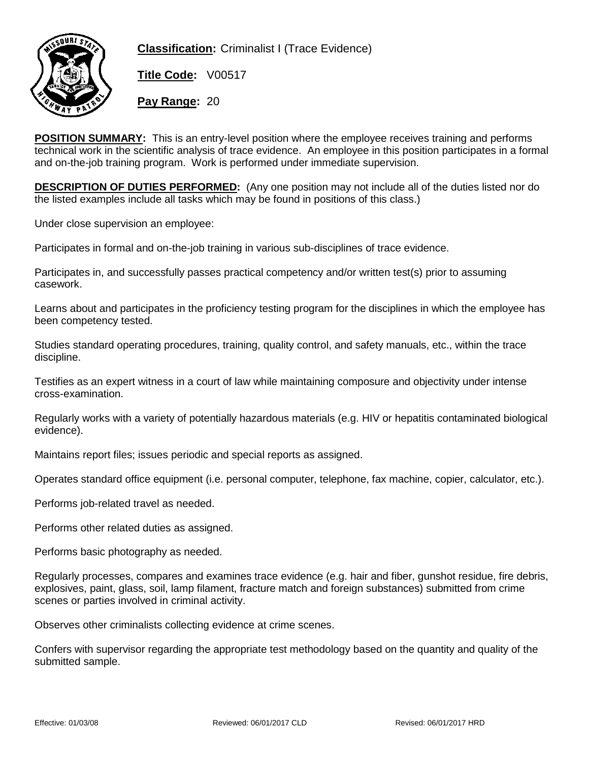

**Classification:** Criminalist I (Trace Evidence)

**Title Code:** V00517

**Pay Range:** 20

**POSITION SUMMARY:** This is an entry-level position where the employee receives training and performs technical work in the scientific analysis of trace evidence. An employee in this position participates in a formal and on-the-job training program. Work is performed under immediate supervision.

**DESCRIPTION OF DUTIES PERFORMED:** (Any one position may not include all of the duties listed nor do the listed examples include all tasks which may be found in positions of this class.)

Under close supervision an employee:

Participates in formal and on-the-job training in various sub-disciplines of trace evidence.

Participates in, and successfully passes practical competency and/or written test(s) prior to assuming casework.

Learns about and participates in the proficiency testing program for the disciplines in which the employee has been competency tested.

Studies standard operating procedures, training, quality control, and safety manuals, etc., within the trace discipline.

Testifies as an expert witness in a court of law while maintaining composure and objectivity under intense cross-examination.

Regularly works with a variety of potentially hazardous materials (e.g. HIV or hepatitis contaminated biological evidence).

Maintains report files; issues periodic and special reports as assigned.

Operates standard office equipment (i.e. personal computer, telephone, fax machine, copier, calculator, etc.).

Performs job-related travel as needed.

Performs other related duties as assigned.

Performs basic photography as needed.

Regularly processes, compares and examines trace evidence (e.g. hair and fiber, gunshot residue, fire debris, explosives, paint, glass, soil, lamp filament, fracture match and foreign substances) submitted from crime scenes or parties involved in criminal activity.

Observes other criminalists collecting evidence at crime scenes.

Confers with supervisor regarding the appropriate test methodology based on the quantity and quality of the submitted sample.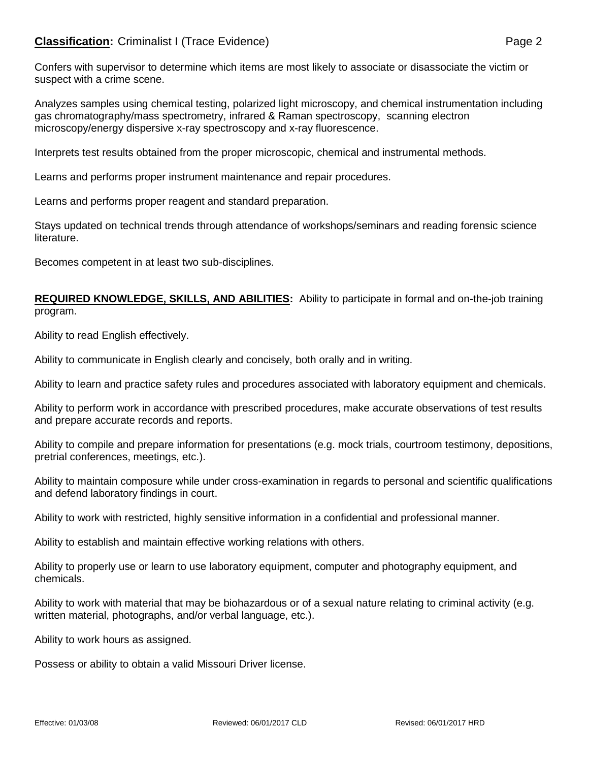Confers with supervisor to determine which items are most likely to associate or disassociate the victim or suspect with a crime scene.

Analyzes samples using chemical testing, polarized light microscopy, and chemical instrumentation including gas chromatography/mass spectrometry, infrared & Raman spectroscopy, scanning electron microscopy/energy dispersive x-ray spectroscopy and x-ray fluorescence.

Interprets test results obtained from the proper microscopic, chemical and instrumental methods.

Learns and performs proper instrument maintenance and repair procedures.

Learns and performs proper reagent and standard preparation.

Stays updated on technical trends through attendance of workshops/seminars and reading forensic science literature.

Becomes competent in at least two sub-disciplines.

**REQUIRED KNOWLEDGE, SKILLS, AND ABILITIES:** Ability to participate in formal and on-the-job training program.

Ability to read English effectively.

Ability to communicate in English clearly and concisely, both orally and in writing.

Ability to learn and practice safety rules and procedures associated with laboratory equipment and chemicals.

Ability to perform work in accordance with prescribed procedures, make accurate observations of test results and prepare accurate records and reports.

Ability to compile and prepare information for presentations (e.g. mock trials, courtroom testimony, depositions, pretrial conferences, meetings, etc.).

Ability to maintain composure while under cross-examination in regards to personal and scientific qualifications and defend laboratory findings in court.

Ability to work with restricted, highly sensitive information in a confidential and professional manner.

Ability to establish and maintain effective working relations with others.

Ability to properly use or learn to use laboratory equipment, computer and photography equipment, and chemicals.

Ability to work with material that may be biohazardous or of a sexual nature relating to criminal activity (e.g. written material, photographs, and/or verbal language, etc.).

Ability to work hours as assigned.

Possess or ability to obtain a valid Missouri Driver license.